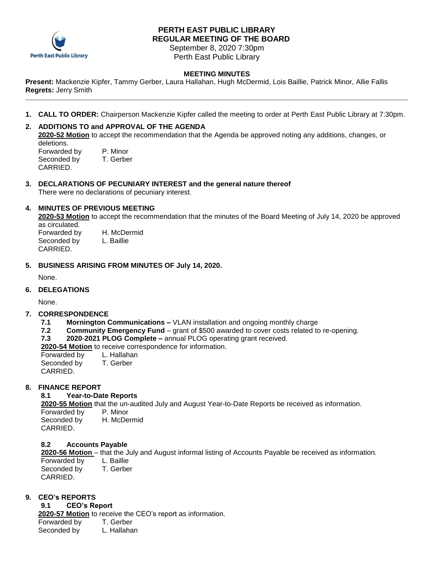

# **PERTH EAST PUBLIC LIBRARY REGULAR MEETING OF THE BOARD**

September 8, 2020 7:30pm Perth East Public Library

# **MEETING MINUTES**

**Present:** Mackenzie Kipfer, Tammy Gerber, Laura Hallahan, Hugh McDermid, Lois Baillie, Patrick Minor, Allie Fallis **Regrets:** Jerry Smith

**1. CALL TO ORDER:** Chairperson Mackenzie Kipfer called the meeting to order at Perth East Public Library at 7:30pm.

## **2. ADDITIONS TO and APPROVAL OF THE AGENDA**

**2020-52 Motion** to accept the recommendation that the Agenda be approved noting any additions, changes, or deletions.

| Forwarded by | P. Minor  |
|--------------|-----------|
| Seconded by  | T. Gerber |
| CARRIED.     |           |

**3. DECLARATIONS OF PECUNIARY INTEREST and the general nature thereof** There were no declarations of pecuniary interest.

## **4. MINUTES OF PREVIOUS MEETING**

**2020-53 Motion** to accept the recommendation that the minutes of the Board Meeting of July 14, 2020 be approved as circulated. Forwarded by H. McDermid

Seconded by L. Baillie CARRIED.

### **5. BUSINESS ARISING FROM MINUTES OF July 14, 2020.**

None.

## **6. DELEGATIONS**

None.

## **7. CORRESPONDENCE**

- **7.1 Mornington Communications –** VLAN installation and ongoing monthly charge
- **7.2 Community Emergency Fund** grant of \$500 awarded to cover costs related to re-opening.
- **7.3 2020**-**2021 PLOG Complete –** annual PLOG operating grant received.
- **2020-54 Motion** to receive correspondence for information.

Forwarded by L. Hallahan Seconded by T. Gerber CARRIED.

## **8. FINANCE REPORT**

### **8.1 Year-to-Date Reports**

**2020-55 Motion** that the un-audited July and August Year-to-Date Reports be received as information.

Forwarded by P. Minor Seconded by H. McDermid CARRIED.

### **8.2 Accounts Payable**

**2020-56 Motion** – that the July and August informal listing of Accounts Payable be received as information. Forwarded by L. Baillie<br>Seconded by T. Gerber Seconded by CARRIED.

## **9. CEO's REPORTS**

## **9.1 CEO's Report**

**2020-57 Motion** to receive the CEO's report as information.

Forwarded by T. Gerber

Seconded by L. Hallahan